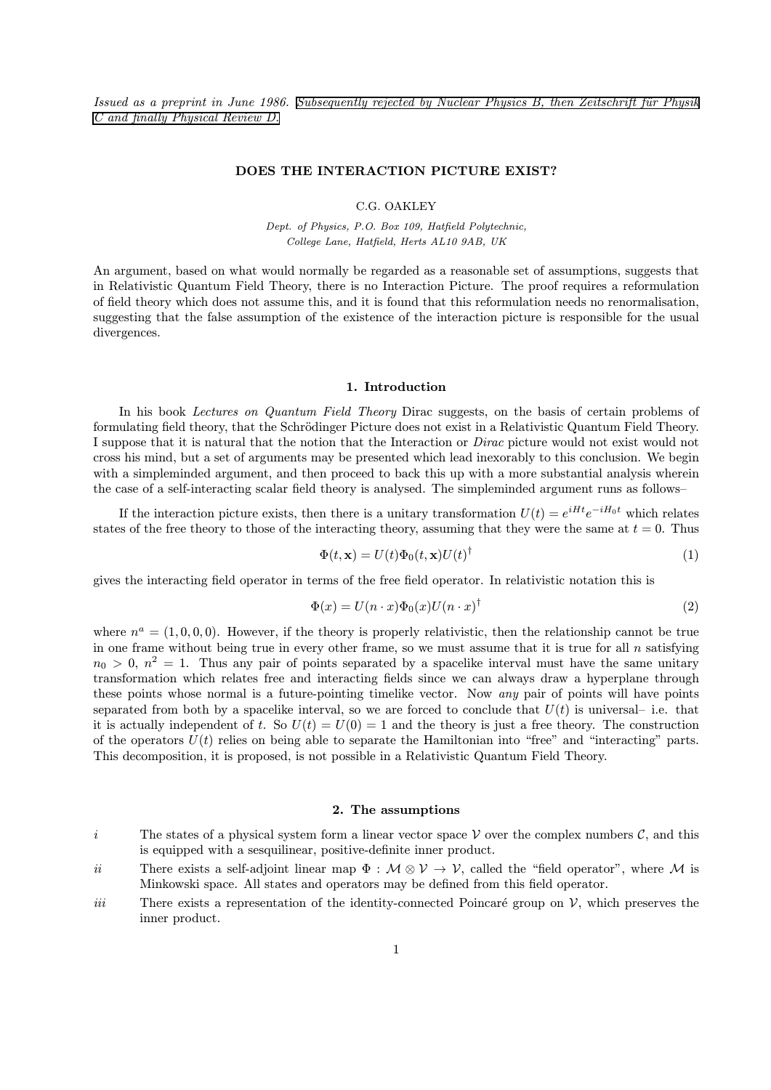Issued as a preprint in June 1986. Subsequently rejected by Nuclear Physics B, then Zeitschrift für Physik [C and finally Physical Review D.](http://www.cgoakley.demon.co.uk/qft/corres.pdf)

# DOES THE INTERACTION PICTURE EXIST?

# C.G. OAKLEY

Dept. of Physics, P.O. Box 109, Hatfield Polytechnic, College Lane, Hatfield, Herts AL10 9AB, UK

An argument, based on what would normally be regarded as a reasonable set of assumptions, suggests that in Relativistic Quantum Field Theory, there is no Interaction Picture. The proof requires a reformulation of field theory which does not assume this, and it is found that this reformulation needs no renormalisation, suggesting that the false assumption of the existence of the interaction picture is responsible for the usual divergences.

## 1. Introduction

In his book Lectures on Quantum Field Theory Dirac suggests, on the basis of certain problems of formulating field theory, that the Schrödinger Picture does not exist in a Relativistic Quantum Field Theory. I suppose that it is natural that the notion that the Interaction or Dirac picture would not exist would not cross his mind, but a set of arguments may be presented which lead inexorably to this conclusion. We begin with a simpleminded argument, and then proceed to back this up with a more substantial analysis wherein the case of a self-interacting scalar field theory is analysed. The simpleminded argument runs as follows—

If the interaction picture exists, then there is a unitary transformation  $U(t) = e^{iHt}e^{-iH_0t}$  which relates states of the free theory to those of the interacting theory, assuming that they were the same at  $t = 0$ . Thus

$$
\Phi(t, \mathbf{x}) = U(t)\Phi_0(t, \mathbf{x})U(t)^{\dagger}
$$
\n(1)

gives the interacting field operator in terms of the free field operator. In relativistic notation this is

$$
\Phi(x) = U(n \cdot x)\Phi_0(x)U(n \cdot x)^\dagger
$$
\n(2)

where  $n^a = (1, 0, 0, 0)$ . However, if the theory is properly relativistic, then the relationship cannot be true in one frame without being true in every other frame, so we must assume that it is true for all  $n$  satisfying  $n_0 > 0, n^2 = 1$ . Thus any pair of points separated by a spacelike interval must have the same unitary transformation which relates free and interacting fields since we can always draw a hyperplane through these points whose normal is a future-pointing timelike vector. Now any pair of points will have points separated from both by a spacelike interval, so we are forced to conclude that  $U(t)$  is universal-i.e. that it is actually independent of t. So  $U(t) = U(0) = 1$  and the theory is just a free theory. The construction of the operators  $U(t)$  relies on being able to separate the Hamiltonian into "free" and "interacting" parts. This decomposition, it is proposed, is not possible in a Relativistic Quantum Field Theory.

## 2. The assumptions

- i The states of a physical system form a linear vector space V over the complex numbers  $\mathcal{C}$ , and this is equipped with a sesquilinear, positive-definite inner product.
- ii There exists a self-adjoint linear map  $\Phi : \mathcal{M} \otimes \mathcal{V} \to \mathcal{V}$ , called the "field operator", where M is Minkowski space. All states and operators may be defined from this field operator.
- iii There exists a representation of the identity-connected Poincaré group on  $\mathcal{V}$ , which preserves the inner product.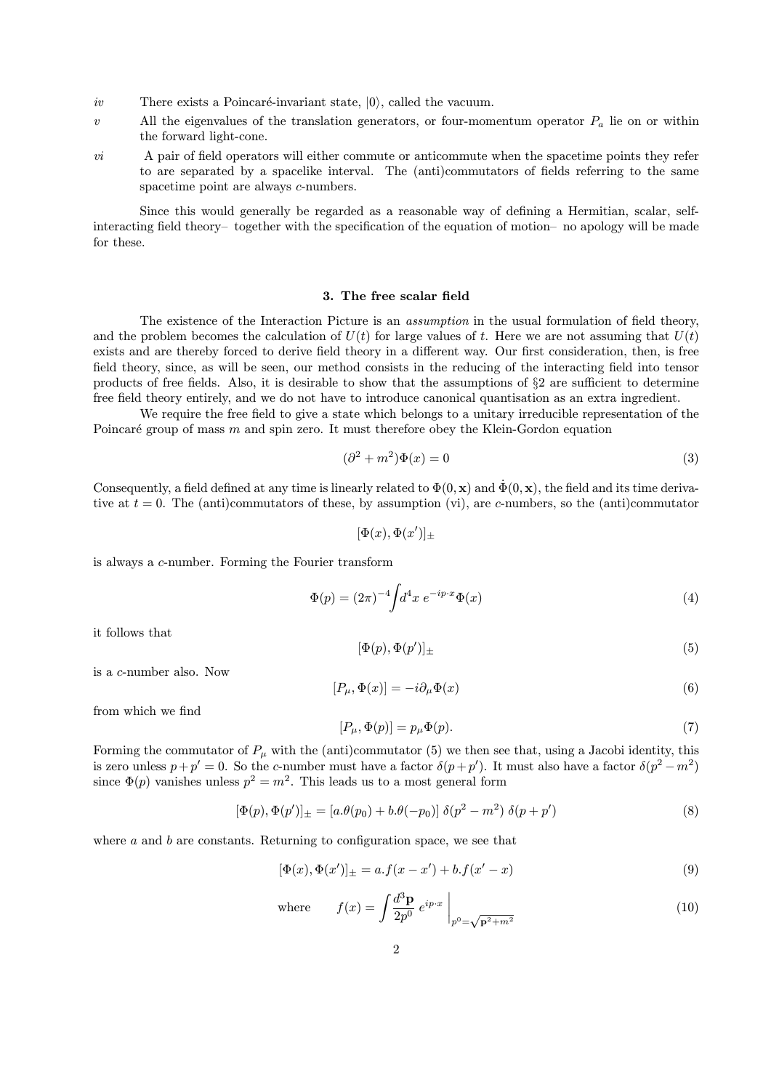- iv There exists a Poincaré-invariant state,  $|0\rangle$ , called the vacuum.
- v All the eigenvalues of the translation generators, or four-momentum operator  $P_a$  lie on or within the forward light-cone.
- $vi$  A pair of field operators will either commute or anticommute when the spacetime points they refer to are separated by a spacelike interval. The (anti)commutators of fields referring to the same spacetime point are always *c*-numbers.

Since this would generally be regarded as a reasonable way of defining a Hermitian, scalar, selfinteracting field theory—together with the specification of the equation of motion—no apology will be made for these.

#### 3. The free scalar field

The existence of the Interaction Picture is an *assumption* in the usual formulation of field theory, and the problem becomes the calculation of  $U(t)$  for large values of t. Here we are not assuming that  $U(t)$ exists and are thereby forced to derive field theory in a different way. Our first consideration, then, is free field theory, since, as will be seen, our method consists in the reducing of the interacting field into tensor products of free fields. Also, it is desirable to show that the assumptions of §2 are sufficient to determine free field theory entirely, and we do not have to introduce canonical quantisation as an extra ingredient.

We require the free field to give a state which belongs to a unitary irreducible representation of the Poincaré group of mass  $m$  and spin zero. It must therefore obey the Klein-Gordon equation

$$
(\partial^2 + m^2)\Phi(x) = 0\tag{3}
$$

Consequently, a field defined at any time is linearly related to  $\Phi(0, \mathbf{x})$  and  $\dot{\Phi}(0, \mathbf{x})$ , the field and its time derivative at  $t = 0$ . The (anti)commutators of these, by assumption (vi), are c-numbers, so the (anti)commutator

$$
[\Phi(x), \Phi(x')]_{\pm}
$$

is always a c-number. Forming the Fourier transform

$$
\Phi(p) = (2\pi)^{-4} \int d^4x \ e^{-ip \cdot x} \Phi(x) \tag{4}
$$

it follows that

$$
[\Phi(p), \Phi(p')]_{\pm} \tag{5}
$$

is a c-number also. Now

$$
[P_{\mu}, \Phi(x)] = -i\partial_{\mu}\Phi(x) \tag{6}
$$

from which we find

$$
[P_{\mu}, \Phi(p)] = p_{\mu} \Phi(p). \tag{7}
$$

Forming the commutator of  $P_\mu$  with the (anti)commutator (5) we then see that, using a Jacobi identity, this is zero unless  $p + p' = 0$ . So the c-number must have a factor  $\delta(p+p')$ . It must also have a factor  $\delta(p^2-m^2)$ since  $\Phi(p)$  vanishes unless  $p^2 = m^2$ . This leads us to a most general form

$$
[\Phi(p), \Phi(p')]_{\pm} = [a.\theta(p_0) + b.\theta(-p_0)] \delta(p^2 - m^2) \delta(p + p')
$$
\n(8)

where  $a$  and  $b$  are constants. Returning to configuration space, we see that

$$
[\Phi(x), \Phi(x')]_{\pm} = a.f(x - x') + b.f(x' - x)
$$
\n(9)

where 
$$
f(x) = \int \frac{d^3 \mathbf{p}}{2p^0} e^{ip \cdot x} \Big|_{p^0 = \sqrt{\mathbf{p}^2 + m^2}}
$$
 (10)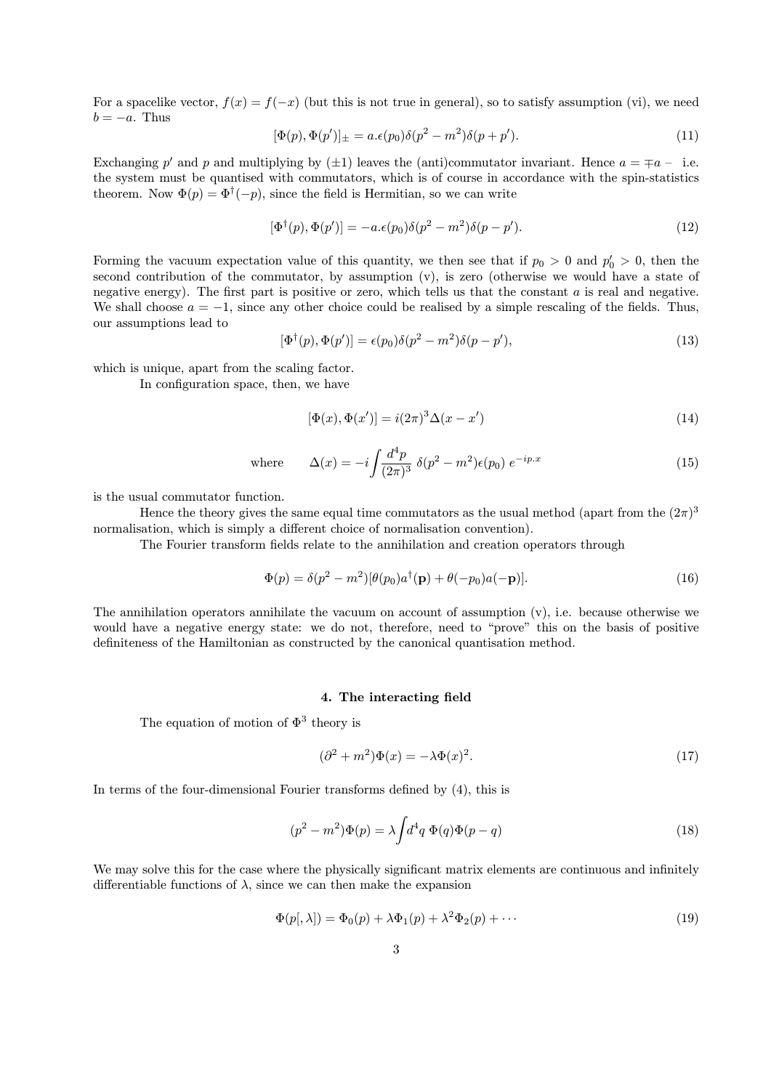For a spacelike vector,  $f(x) = f(-x)$  (but this is not true in general), so to satisfy assumption (vi), we need  $b = -a$ . Thus

$$
[\Phi(p), \Phi(p')]_{\pm} = a.\epsilon(p_0)\delta(p^2 - m^2)\delta(p + p'). \tag{11}
$$

Exchanging p' and p and multiplying by  $(\pm 1)$  leaves the (anti)commutator invariant. Hence  $a = \mp a - i$ . the system must be quantised with commutators, which is of course in accordance with the spin-statistics theorem. Now  $\Phi(p) = \Phi^{\dagger}(-p)$ , since the field is Hermitian, so we can write

$$
[\Phi^{\dagger}(p), \Phi(p')] = -a \cdot \epsilon(p_0) \delta(p^2 - m^2) \delta(p - p'). \tag{12}
$$

Forming the vacuum expectation value of this quantity, we then see that if  $p_0 > 0$  and  $p'_0 > 0$ , then the second contribution of the commutator, by assumption (v), is zero (otherwise we would have a state of negative energy). The first part is positive or zero, which tells us that the constant  $a$  is real and negative. We shall choose  $a = -1$ , since any other choice could be realised by a simple rescaling of the fields. Thus, our assumptions lead to

$$
[\Phi^{\dagger}(p), \Phi(p')] = \epsilon(p_0)\delta(p^2 - m^2)\delta(p - p'),\tag{13}
$$

which is unique, apart from the scaling factor.

In configuration space, then, we have

$$
[\Phi(x), \Phi(x')] = i(2\pi)^3 \Delta(x - x')
$$
\n(14)

where 
$$
\Delta(x) = -i \int \frac{d^4 p}{(2\pi)^3} \ \delta(p^2 - m^2) \epsilon(p_0) \ e^{-ip.x}
$$
 (15)

is the usual commutator function.

Hence the theory gives the same equal time commutators as the usual method (apart from the  $(2\pi)^3$ normalisation, which is simply a different choice of normalisation convention).

The Fourier transform fields relate to the annihilation and creation operators through

$$
\Phi(p) = \delta(p^2 - m^2)[\theta(p_0)a^\dagger(\mathbf{p}) + \theta(-p_0)a(-\mathbf{p})].\tag{16}
$$

The annihilation operators annihilate the vacuum on account of assumption  $(v)$ , i.e. because otherwise we would have a negative energy state: we do not, therefore, need to "prove" this on the basis of positive definiteness of the Hamiltonian as constructed by the canonical quantisation method.

#### 4. The interacting field

The equation of motion of  $\Phi^3$  theory is

$$
(\partial^2 + m^2)\Phi(x) = -\lambda \Phi(x)^2.
$$
 (17)

In terms of the four-dimensional Fourier transforms defined by (4), this is

$$
(p2 - m2)\Phi(p) = \lambda \int d4 q \Phi(q)\Phi(p - q)
$$
\n(18)

We may solve this for the case where the physically significant matrix elements are continuous and infinitely differentiable functions of  $\lambda$ , since we can then make the expansion

$$
\Phi(p[,\lambda]) = \Phi_0(p) + \lambda \Phi_1(p) + \lambda^2 \Phi_2(p) + \cdots
$$
\n(19)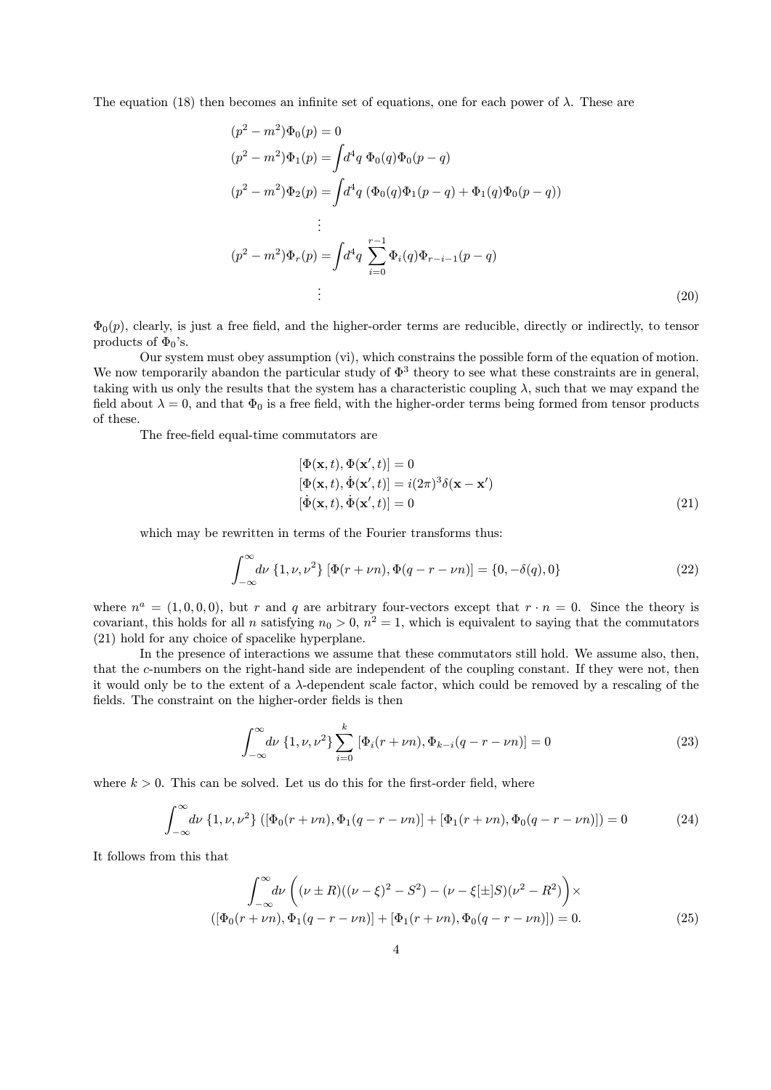The equation (18) then becomes an infinite set of equations, one for each power of  $\lambda$ . These are

$$
(p2 - m2)\Phi_0(p) = 0
$$
  
\n
$$
(p2 - m2)\Phi_1(p) = \int d4q \Phi_0(q)\Phi_0(p-q)
$$
  
\n
$$
(p2 - m2)\Phi_2(p) = \int d4q (\Phi_0(q)\Phi_1(p-q) + \Phi_1(q)\Phi_0(p-q))
$$
  
\n
$$
\vdots
$$
  
\n
$$
(p2 - m2)\Phi_r(p) = \int d4q \sum_{i=0}^{r-1} \Phi_i(q)\Phi_{r-i-1}(p-q)
$$
  
\n
$$
\vdots
$$
\n(20)

 $\Phi_0(p)$ , clearly, is just a free field, and the higher-order terms are reducible, directly or indirectly, to tensor products of  $\Phi_0$ 's.

Our system must obey assumption (vi), which constrains the possible form of the equation of motion. We now temporarily abandon the particular study of  $\Phi^3$  theory to see what these constraints are in general, taking with us only the results that the system has a characteristic coupling  $\lambda$ , such that we may expand the field about  $\lambda = 0$ , and that  $\Phi_0$  is a free field, with the higher-order terms being formed from tensor products of these.

The free-field equal-time commutators are

$$
[\Phi(\mathbf{x},t), \Phi(\mathbf{x}',t)] = 0
$$
  
\n
$$
[\Phi(\mathbf{x},t), \dot{\Phi}(\mathbf{x}',t)] = i(2\pi)^3 \delta(\mathbf{x} - \mathbf{x}')
$$
  
\n
$$
[\dot{\Phi}(\mathbf{x},t), \dot{\Phi}(\mathbf{x}',t)] = 0
$$
\n(21)

which may be rewritten in terms of the Fourier transforms thus:

$$
\int_{-\infty}^{\infty} d\nu \{1, \nu, \nu^2\} \left[ \Phi(r + \nu n), \Phi(q - r - \nu n) \right] = \{0, -\delta(q), 0\}
$$
 (22)

where  $n^a = (1, 0, 0, 0)$ , but r and q are arbitrary four-vectors except that  $r \cdot n = 0$ . Since the theory is covariant, this holds for all n satisfying  $n_0 > 0$ ,  $n^2 = 1$ , which is equivalent to saying that the commutators (21) hold for any choice of spacelike hyperplane.

In the presence of interactions we assume that these commutators still hold. We assume also, then, that the c-numbers on the right-hand side are independent of the coupling constant. If they were not, then it would only be to the extent of a  $\lambda$ -dependent scale factor, which could be removed by a rescaling of the fields. The constraint on the higher-order fields is then

$$
\int_{-\infty}^{\infty} d\nu \left\{ 1, \nu, \nu^2 \right\} \sum_{i=0}^{k} \left[ \Phi_i(r + \nu n), \Phi_{k-i}(q - r - \nu n) \right] = 0 \tag{23}
$$

where  $k > 0$ . This can be solved. Let us do this for the first-order field, where

$$
\int_{-\infty}^{\infty} d\nu \left\{ 1, \nu, \nu^2 \right\} \left( \left[ \Phi_0(r + \nu n), \Phi_1(q - r - \nu n) \right] + \left[ \Phi_1(r + \nu n), \Phi_0(q - r - \nu n) \right] \right) = 0 \tag{24}
$$

It follows from this that

$$
\int_{-\infty}^{\infty} d\nu \left( (\nu \pm R)((\nu - \xi)^2 - S^2) - (\nu - \xi[\pm]S)(\nu^2 - R^2) \right) \times
$$
  

$$
([\Phi_0(r + \nu n), \Phi_1(q - r - \nu n)] + [\Phi_1(r + \nu n), \Phi_0(q - r - \nu n)]) = 0.
$$
 (25)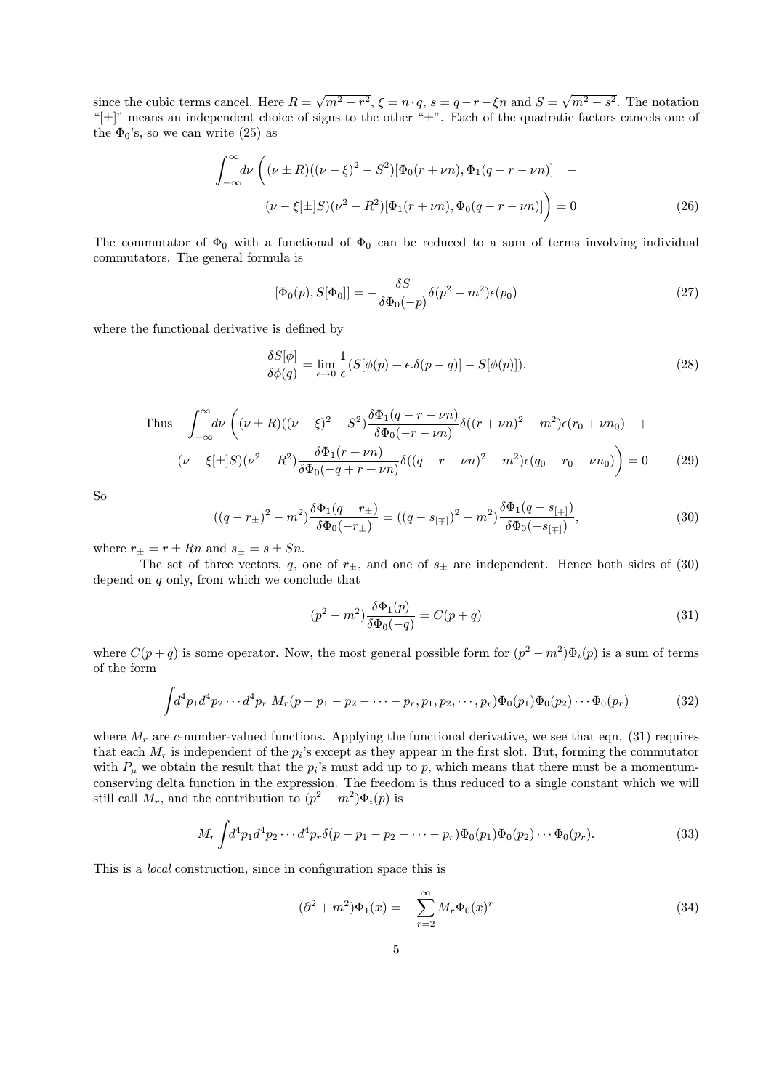since the cubic terms cancel. Here  $R = \sqrt{m^2 - r^2}$ ,  $\xi = n \cdot q$ ,  $s = q - r - \xi n$  and  $S = \sqrt{m^2 - s^2}$ . The notation "[±]" means an independent choice of signs to the other "±". Each of the quadratic factors cancels one of the  $\Phi_0$ 's, so we can write (25) as

$$
\int_{-\infty}^{\infty} d\nu \left( (\nu \pm R)((\nu - \xi)^2 - S^2) [\Phi_0(r + \nu n), \Phi_1(q - r - \nu n)] - (\nu - \xi[\pm]S)(\nu^2 - R^2) [\Phi_1(r + \nu n), \Phi_0(q - r - \nu n)] \right) = 0
$$
\n(26)

The commutator of  $\Phi_0$  with a functional of  $\Phi_0$  can be reduced to a sum of terms involving individual commutators. The general formula is

$$
[\Phi_0(p), S[\Phi_0]] = -\frac{\delta S}{\delta \Phi_0(-p)} \delta(p^2 - m^2) \epsilon(p_0)
$$
\n(27)

where the functional derivative is defined by

$$
\frac{\delta S[\phi]}{\delta \phi(q)} = \lim_{\epsilon \to 0} \frac{1}{\epsilon} (S[\phi(p) + \epsilon \delta(p - q)] - S[\phi(p)]). \tag{28}
$$

Thus 
$$
\int_{-\infty}^{\infty} d\nu \left( (\nu \pm R)((\nu - \xi)^2 - S^2) \frac{\delta \Phi_1(q - r - \nu n)}{\delta \Phi_0(-r - \nu n)} \delta((r + \nu n)^2 - m^2) \epsilon(r_0 + \nu n_0) + (\nu - \xi \pm S)(\nu^2 - R^2) \frac{\delta \Phi_1(r + \nu n)}{\delta \Phi_0(-q + r + \nu n)} \delta((q - r - \nu n)^2 - m^2) \epsilon(q_0 - r_0 - \nu n_0) \right) = 0 \quad (29)
$$

So

$$
((q - r_{\pm})^2 - m^2) \frac{\delta \Phi_1(q - r_{\pm})}{\delta \Phi_0(-r_{\pm})} = ((q - s_{[\mp]})^2 - m^2) \frac{\delta \Phi_1(q - s_{[\mp]})}{\delta \Phi_0(-s_{[\mp]})},
$$
\n(30)

where  $r_{\pm} = r \pm Rn$  and  $s_{\pm} = s \pm Sn$ .

The set of three vectors, q, one of  $r_{\pm}$ , and one of  $s_{\pm}$  are independent. Hence both sides of (30) depend on  $q$  only, from which we conclude that

$$
(p2 - m2)\frac{\delta\Phi_1(p)}{\delta\Phi_0(-q)} = C(p+q)
$$
\n(31)

where  $C(p+q)$  is some operator. Now, the most general possible form for  $(p^2 - m^2)\Phi_i(p)$  is a sum of terms of the form

$$
\int d^4p_1 d^4p_2 \cdots d^4p_r M_r(p-p_1-p_2-\cdots-p_r, p_1, p_2, \cdots, p_r) \Phi_0(p_1) \Phi_0(p_2) \cdots \Phi_0(p_r)
$$
 (32)

where  $M_r$  are c-number-valued functions. Applying the functional derivative, we see that eqn. (31) requires that each  $M_r$  is independent of the  $p_i$ 's except as they appear in the first slot. But, forming the commutator with  $P_{\mu}$  we obtain the result that the  $p_i$ 's must add up to p, which means that there must be a momentumconserving delta function in the expression. The freedom is thus reduced to a single constant which we will still call  $M_r$ , and the contribution to  $(p^2 - m^2)\Phi_i(p)$  is

$$
M_r \int d^4 p_1 d^4 p_2 \cdots d^4 p_r \delta(p - p_1 - p_2 - \cdots - p_r) \Phi_0(p_1) \Phi_0(p_2) \cdots \Phi_0(p_r). \tag{33}
$$

This is a local construction, since in configuration space this is

$$
(\partial^2 + m^2)\Phi_1(x) = -\sum_{r=2}^{\infty} M_r \Phi_0(x)^r
$$
\n(34)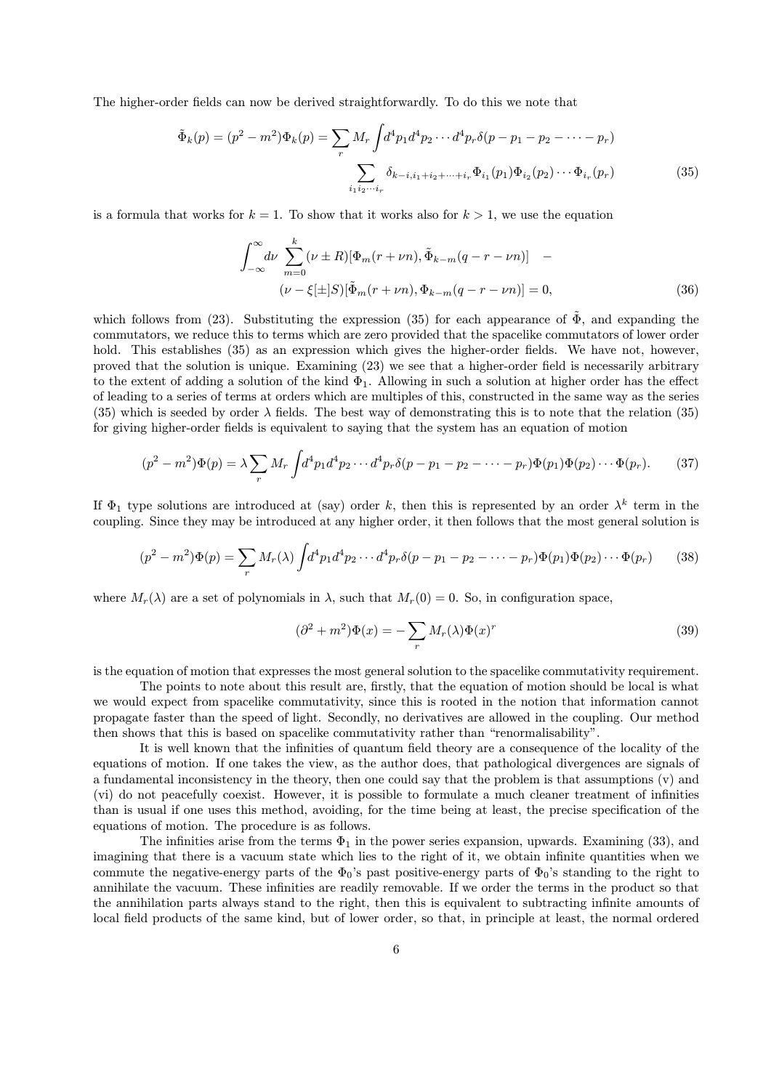The higher-order fields can now be derived straightforwardly. To do this we note that

$$
\tilde{\Phi}_k(p) = (p^2 - m^2) \Phi_k(p) = \sum_r M_r \int d^4 p_1 d^4 p_2 \cdots d^4 p_r \delta(p - p_1 - p_2 - \cdots - p_r)
$$

$$
\sum_{i_1 i_2 \cdots i_r} \delta_{k - i, i_1 + i_2 + \cdots + i_r} \Phi_{i_1}(p_1) \Phi_{i_2}(p_2) \cdots \Phi_{i_r}(p_r) \tag{35}
$$

is a formula that works for  $k = 1$ . To show that it works also for  $k > 1$ , we use the equation

$$
\int_{-\infty}^{\infty} d\nu \sum_{m=0}^{k} (\nu \pm R) [\Phi_m(r + \nu n), \tilde{\Phi}_{k-m}(q - r - \nu n)] - (\nu - \xi[\pm] S) [\tilde{\Phi}_m(r + \nu n), \Phi_{k-m}(q - r - \nu n)] = 0,
$$
\n(36)

which follows from (23). Substituting the expression (35) for each appearance of  $\tilde{\Phi}$ , and expanding the commutators, we reduce this to terms which are zero provided that the spacelike commutators of lower order hold. This establishes (35) as an expression which gives the higher-order fields. We have not, however, proved that the solution is unique. Examining (23) we see that a higher-order field is necessarily arbitrary to the extent of adding a solution of the kind  $\Phi_1$ . Allowing in such a solution at higher order has the effect of leading to a series of terms at orders which are multiples of this, constructed in the same way as the series (35) which is seeded by order  $\lambda$  fields. The best way of demonstrating this is to note that the relation (35) for giving higher-order fields is equivalent to saying that the system has an equation of motion

$$
(p^2 - m^2)\Phi(p) = \lambda \sum_r M_r \int d^4p_1 d^4p_2 \cdots d^4p_r \delta(p - p_1 - p_2 - \cdots - p_r)\Phi(p_1)\Phi(p_2)\cdots\Phi(p_r). \tag{37}
$$

If  $\Phi_1$  type solutions are introduced at (say) order k, then this is represented by an order  $\lambda^k$  term in the coupling. Since they may be introduced at any higher order, it then follows that the most general solution is

$$
(p^2 - m^2)\Phi(p) = \sum_r M_r(\lambda) \int d^4p_1 d^4p_2 \cdots d^4p_r \delta(p - p_1 - p_2 - \cdots - p_r)\Phi(p_1)\Phi(p_2)\cdots\Phi(p_r) \tag{38}
$$

where  $M_r(\lambda)$  are a set of polynomials in  $\lambda$ , such that  $M_r(0) = 0$ . So, in configuration space,

$$
(\partial^2 + m^2)\Phi(x) = -\sum_r M_r(\lambda)\Phi(x)^r
$$
\n(39)

is the equation of motion that expresses the most general solution to the spacelike commutativity requirement.

The points to note about this result are, firstly, that the equation of motion should be local is what we would expect from spacelike commutativity, since this is rooted in the notion that information cannot propagate faster than the speed of light. Secondly, no derivatives are allowed in the coupling. Our method then shows that this is based on spacelike commutativity rather than "renormalisability".

It is well known that the infinities of quantum field theory are a consequence of the locality of the equations of motion. If one takes the view, as the author does, that pathological divergences are signals of a fundamental inconsistency in the theory, then one could say that the problem is that assumptions (v) and (vi) do not peacefully coexist. However, it is possible to formulate a much cleaner treatment of infinities than is usual if one uses this method, avoiding, for the time being at least, the precise specification of the equations of motion. The procedure is as follows.

The infinities arise from the terms  $\Phi_1$  in the power series expansion, upwards. Examining (33), and imagining that there is a vacuum state which lies to the right of it, we obtain infinite quantities when we commute the negative-energy parts of the  $\Phi_0$ 's past positive-energy parts of  $\Phi_0$ 's standing to the right to annihilate the vacuum. These infinities are readily removable. If we order the terms in the product so that the annihilation parts always stand to the right, then this is equivalent to subtracting infinite amounts of local field products of the same kind, but of lower order, so that, in principle at least, the normal ordered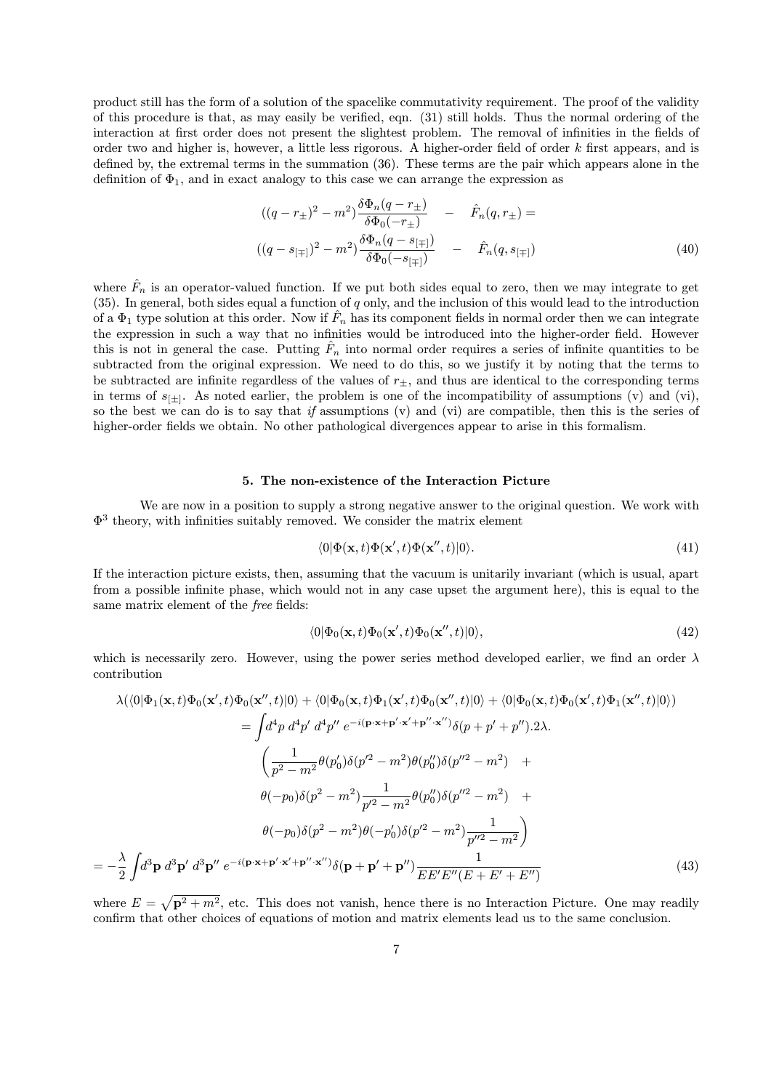product still has the form of a solution of the spacelike commutativity requirement. The proof of the validity of this procedure is that, as may easily be verified, eqn. (31) still holds. Thus the normal ordering of the interaction at first order does not present the slightest problem. The removal of infinities in the fields of order two and higher is, however, a little less rigorous. A higher-order field of order k first appears, and is defined by, the extremal terms in the summation (36). These terms are the pair which appears alone in the definition of  $\Phi_1$ , and in exact analogy to this case we can arrange the expression as

$$
((q - r_{\pm})^2 - m^2) \frac{\delta \Phi_n(q - r_{\pm})}{\delta \Phi_0(-r_{\pm})} - \hat{F}_n(q, r_{\pm}) =
$$
  

$$
((q - s_{[\mp]})^2 - m^2) \frac{\delta \Phi_n(q - s_{[\mp]})}{\delta \Phi_0(-s_{[\mp]})} - \hat{F}_n(q, s_{[\mp]})
$$
(40)

where  $\hat{F}_n$  is an operator-valued function. If we put both sides equal to zero, then we may integrate to get  $(35)$ . In general, both sides equal a function of q only, and the inclusion of this would lead to the introduction of a  $\Phi_1$  type solution at this order. Now if  $\hat{F}_n$  has its component fields in normal order then we can integrate the expression in such a way that no infinities would be introduced into the higher-order field. However this is not in general the case. Putting  $\hat{F}_n$  into normal order requires a series of infinite quantities to be subtracted from the original expression. We need to do this, so we justify it by noting that the terms to be subtracted are infinite regardless of the values of  $r_{+}$ , and thus are identical to the corresponding terms in terms of  $s_{[\pm]}$ . As noted earlier, the problem is one of the incompatibility of assumptions (v) and (vi), so the best we can do is to say that if assumptions  $(v)$  and  $(vi)$  are compatible, then this is the series of higher-order fields we obtain. No other pathological divergences appear to arise in this formalism.

## 5. The non-existence of the Interaction Picture

We are now in a position to supply a strong negative answer to the original question. We work with Φ 3 theory, with infinities suitably removed. We consider the matrix element

$$
\langle 0|\Phi(\mathbf{x},t)\Phi(\mathbf{x}',t)\Phi(\mathbf{x}'',t)|0\rangle.
$$
\n(41)

If the interaction picture exists, then, assuming that the vacuum is unitarily invariant (which is usual, apart from a possible infinite phase, which would not in any case upset the argument here), this is equal to the same matrix element of the free fields:

$$
\langle 0|\Phi_0(\mathbf{x},t)\Phi_0(\mathbf{x}',t)\Phi_0(\mathbf{x}'',t)|0\rangle, \qquad (42)
$$

which is necessarily zero. However, using the power series method developed earlier, we find an order  $\lambda$ contribution

$$
\lambda(\langle 0|\Phi_{1}(\mathbf{x},t)\Phi_{0}(\mathbf{x}',t)\Phi_{0}(\mathbf{x}'',t)|0\rangle + \langle 0|\Phi_{0}(\mathbf{x},t)\Phi_{1}(\mathbf{x}',t)\Phi_{0}(\mathbf{x}'',t)|0\rangle + \langle 0|\Phi_{0}(\mathbf{x},t)\Phi_{0}(\mathbf{x}',t)\Phi_{1}(\mathbf{x}'',t)|0\rangle)
$$
\n
$$
= \int d^{4}p \ d^{4}p' \ d^{4}p'' \ e^{-i(\mathbf{p}\cdot\mathbf{x}+\mathbf{p}'\cdot\mathbf{x}'+\mathbf{p}''\cdot\mathbf{x}'')}\delta(p+p'+p'').2\lambda.
$$
\n
$$
\left(\frac{1}{p^{2}-m^{2}}\theta(p'_{0})\delta(p'^{2}-m^{2})\theta(p''_{0})\delta(p''^{2}-m^{2})\right)+
$$
\n
$$
\theta(-p_{0})\delta(p^{2}-m^{2})\frac{1}{p'^{2}-m^{2}}\theta(p''_{0})\delta(p''^{2}-m^{2}) +
$$
\n
$$
\theta(-p_{0})\delta(p^{2}-m^{2})\theta(-p'_{0})\delta(p'^{2}-m^{2})\frac{1}{p''^{2}-m^{2}}\right)
$$
\n
$$
-\frac{\lambda}{2}\int d^{3}\mathbf{p} \ d^{3}\mathbf{p}' \ d^{3}\mathbf{p}'' \ e^{-i(\mathbf{p}\cdot\mathbf{x}+\mathbf{p}'\cdot\mathbf{x}'+\mathbf{p}''\cdot\mathbf{x}'')}\delta(\mathbf{p}+\mathbf{p}'+\mathbf{p}'')\frac{1}{EE'E''(E+E'+E'')} \tag{43}
$$

where  $E = \sqrt{p^2 + m^2}$ , etc. This does not vanish, hence there is no Interaction Picture. One may readily confirm that other choices of equations of motion and matrix elements lead us to the same conclusion.

= −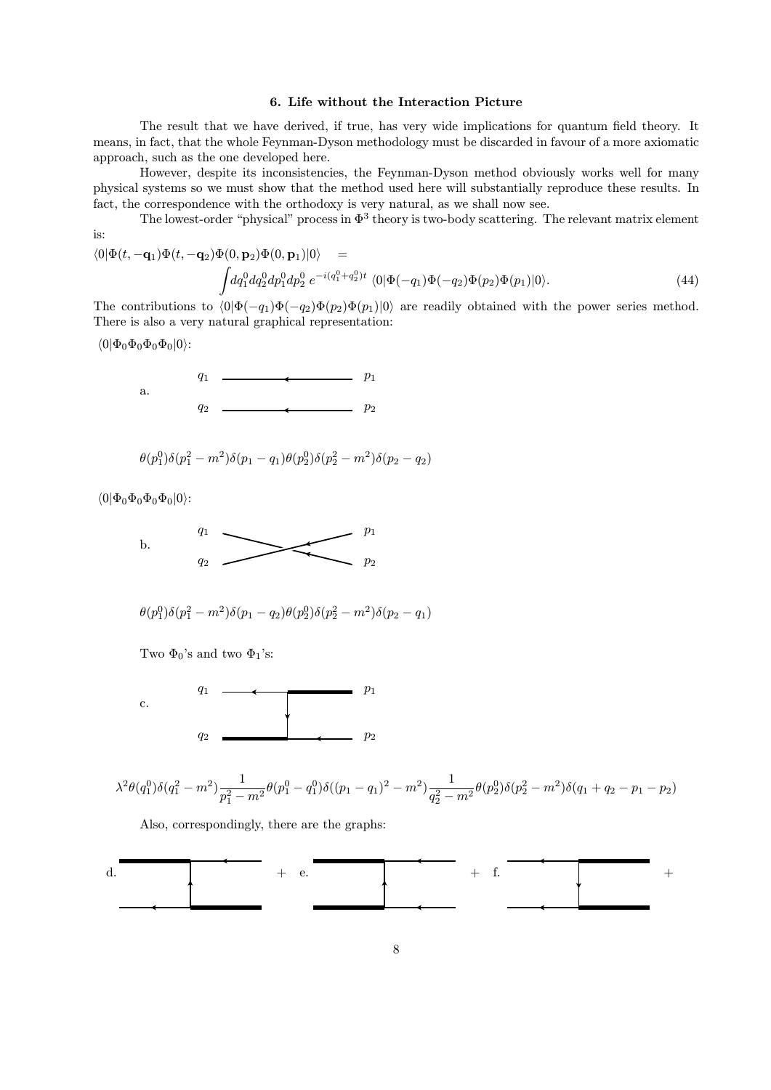## 6. Life without the Interaction Picture

The result that we have derived, if true, has very wide implications for quantum field theory. It means, in fact, that the whole Feynman-Dyson methodology must be discarded in favour of a more axiomatic approach, such as the one developed here.

However, despite its inconsistencies, the Feynman-Dyson method obviously works well for many physical systems so we must show that the method used here will substantially reproduce these results. In fact, the correspondence with the orthodoxy is very natural, as we shall now see.

The lowest-order "physical" process in  $\Phi^3$  theory is two-body scattering. The relevant matrix element is:

$$
\langle 0|\Phi(t, -\mathbf{q}_1)\Phi(t, -\mathbf{q}_2)\Phi(0, \mathbf{p}_2)\Phi(0, \mathbf{p}_1)|0\rangle =
$$
\n
$$
\int dq_1^0 dq_2^0 dp_1^0 dp_2^0 e^{-i(q_1^0 + q_2^0)t} \langle 0|\Phi(-q_1)\Phi(-q_2)\Phi(p_2)\Phi(p_1)|0\rangle.
$$
\n(44)

The contributions to  $\langle 0|\Phi(-q_1)\Phi(-q_2)\Phi(p_2)\Phi(p_1)|0\rangle$  are readily obtained with the power series method. There is also a very natural graphical representation:

 $\langle 0|\Phi_0\Phi_0\Phi_0\Phi_0|0\rangle$ :

a.



 $q_1$   $q_2$   $q_3$ 

$$
\theta(p_1^0)\delta(p_1^2 - m^2)\delta(p_1 - q_1)\theta(p_2^0)\delta(p_2^2 - m^2)\delta(p_2 - q_2)
$$

 $\langle 0|\Phi_0\Phi_0\Phi_0\Phi_0|0\rangle$ :

 $q_1$  p<sub>1</sub> b.  $q_2$  p<sub>2</sub>

$$
\theta(p_1^0)\delta(p_1^2 - m^2)\delta(p_1 - q_2)\theta(p_2^0)\delta(p_2^2 - m^2)\delta(p_2 - q_1)
$$

Two  $\Phi_0$ 's and two  $\Phi_1$ 's:



$$
\lambda^2 \theta(q_1^0) \delta(q_1^2 - m^2) \frac{1}{p_1^2 - m^2} \theta(p_1^0 - q_1^0) \delta((p_1 - q_1)^2 - m^2) \frac{1}{q_2^2 - m^2} \theta(p_2^0) \delta(p_2^2 - m^2) \delta(q_1 + q_2 - p_1 - p_2)
$$

Also, correspondingly, there are the graphs:

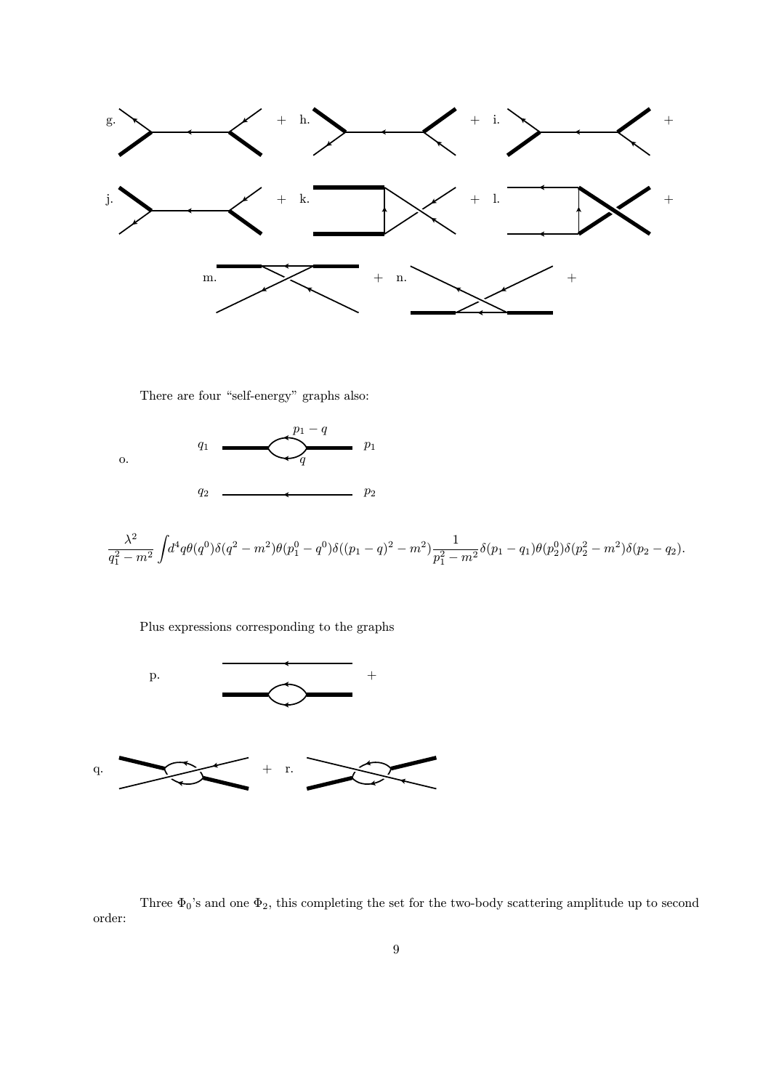

There are four "self-energy" graphs also:



$$
\frac{\lambda^2}{q_1^2 - m^2} \int d^4q \theta(q^0) \delta(q^2 - m^2) \theta(p_1^0 - q^0) \delta((p_1 - q)^2 - m^2) \frac{1}{p_1^2 - m^2} \delta(p_1 - q_1) \theta(p_2^0) \delta(p_2^2 - m^2) \delta(p_2 - q_2).
$$

Plus expressions corresponding to the graphs



Three  $\Phi_0$ 's and one  $\Phi_2$ , this completing the set for the two-body scattering amplitude up to second order: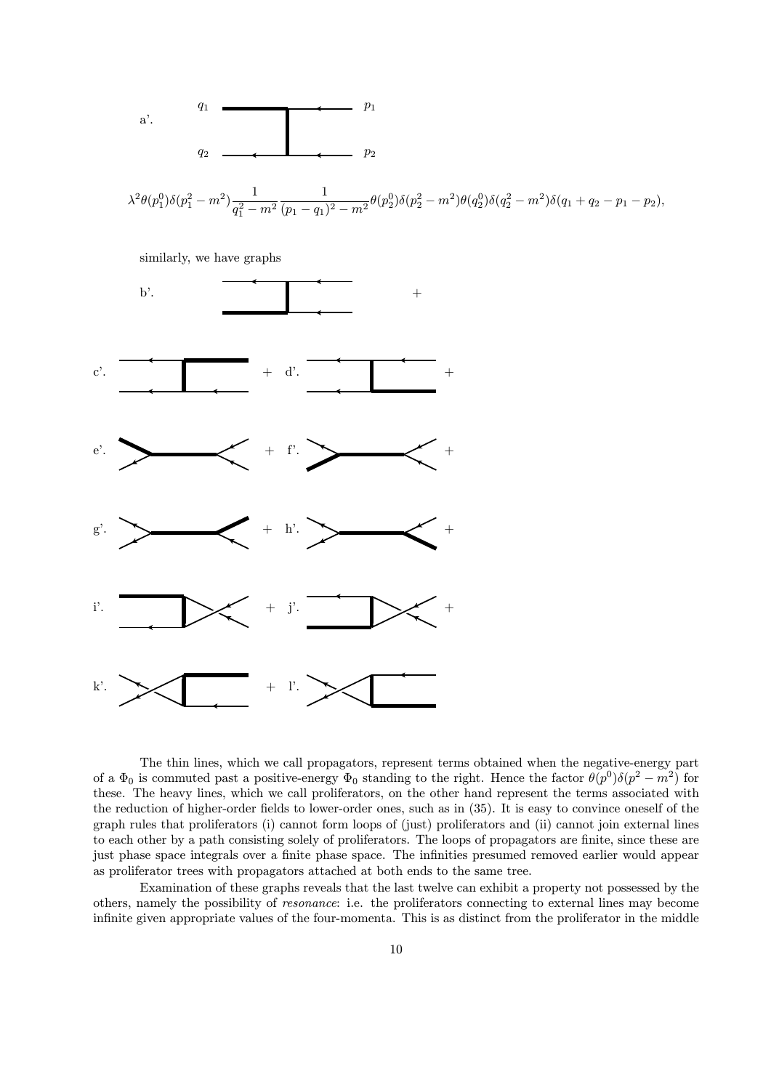

 $\lambda^2 \theta(p_1^0) \delta(p_1^2 - m^2) \frac{1}{a_1^2 - 1}$  $q_1^2 - m^2$ 1  $\frac{1}{(p_1-q_1)^2-m^2}\theta(p_2^0)\delta(p_2^2-m^2)\theta(q_2^0)\delta(q_2^2-m^2)\delta(q_1+q_2-p_1-p_2),$ 

similarly, we have graphs



The thin lines, which we call propagators, represent terms obtained when the negative-energy part of a  $\Phi_0$  is commuted past a positive-energy  $\Phi_0$  standing to the right. Hence the factor  $\theta(p^0)\delta(p^2 - m^2)$  for these. The heavy lines, which we call proliferators, on the other hand represent the terms associated with the reduction of higher-order fields to lower-order ones, such as in (35). It is easy to convince oneself of the graph rules that proliferators (i) cannot form loops of (just) proliferators and (ii) cannot join external lines to each other by a path consisting solely of proliferators. The loops of propagators are finite, since these are just phase space integrals over a finite phase space. The infinities presumed removed earlier would appear as proliferator trees with propagators attached at both ends to the same tree.

Examination of these graphs reveals that the last twelve can exhibit a property not possessed by the others, namely the possibility of resonance: i.e. the proliferators connecting to external lines may become infinite given appropriate values of the four-momenta. This is as distinct from the proliferator in the middle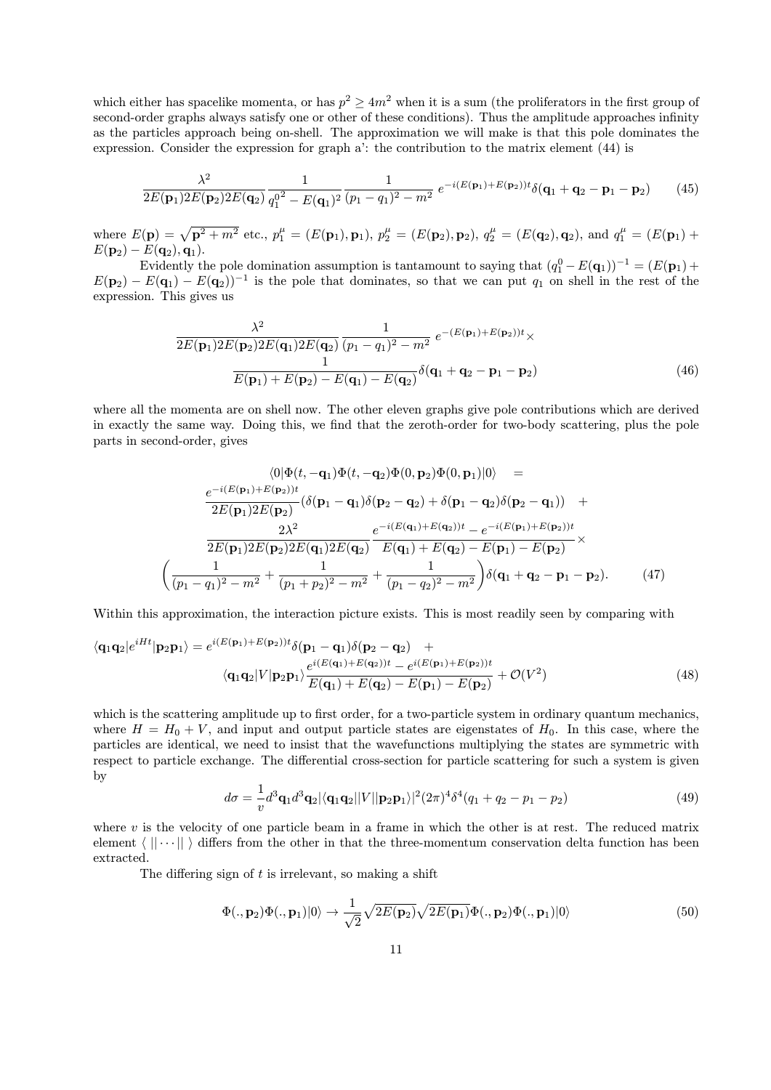which either has spacelike momenta, or has  $p^2 \ge 4m^2$  when it is a sum (the proliferators in the first group of second-order graphs always satisfy one or other of these conditions). Thus the amplitude approaches infinity as the particles approach being on-shell. The approximation we will make is that this pole dominates the expression. Consider the expression for graph a': the contribution to the matrix element (44) is

$$
\frac{\lambda^2}{2E(\mathbf{p}_1)2E(\mathbf{p}_2)2E(\mathbf{q}_2)}\frac{1}{q_1^{0^2} - E(\mathbf{q}_1)^2} \frac{1}{(p_1 - q_1)^2 - m^2} e^{-i(E(\mathbf{p}_1) + E(\mathbf{p}_2))t} \delta(\mathbf{q}_1 + \mathbf{q}_2 - \mathbf{p}_1 - \mathbf{p}_2)
$$
(45)

where  $E(\mathbf{p}) = \sqrt{\mathbf{p}^2 + m^2}$  etc.,  $p_1^{\mu} = (E(\mathbf{p}_1), \mathbf{p}_1), p_2^{\mu} = (E(\mathbf{p}_2), \mathbf{p}_2), q_2^{\mu} = (E(\mathbf{q}_2), \mathbf{q}_2),$  and  $q_1^{\mu} = (E(\mathbf{p}_1) +$  $E({\bf p}_2) - E({\bf q}_2), {\bf q}_1).$ 

Evidently the pole domination assumption is tantamount to saying that  $(q_1^0 - E(\mathbf{q}_1))^{-1} = (E(\mathbf{p}_1) + E(\mathbf{q}_1))^{-1}$  $E(\mathbf{p}_2) - E(\mathbf{q}_1) - E(\mathbf{q}_2))^{-1}$  is the pole that dominates, so that we can put  $q_1$  on shell in the rest of the expression. This gives us

$$
\frac{\lambda^2}{2E(\mathbf{p}_1)2E(\mathbf{p}_2)2E(\mathbf{q}_1)2E(\mathbf{q}_2)}\frac{1}{(p_1 - q_1)^2 - m^2} e^{-(E(\mathbf{p}_1) + E(\mathbf{p}_2))t} \times \frac{1}{E(\mathbf{p}_1) + E(\mathbf{p}_2) - E(\mathbf{q}_1) - E(\mathbf{q}_2)} \delta(\mathbf{q}_1 + \mathbf{q}_2 - \mathbf{p}_1 - \mathbf{p}_2)
$$
\n(46)

where all the momenta are on shell now. The other eleven graphs give pole contributions which are derived in exactly the same way. Doing this, we find that the zeroth-order for two-body scattering, plus the pole parts in second-order, gives

$$
\langle 0|\Phi(t, -\mathbf{q}_1)\Phi(t, -\mathbf{q}_2)\Phi(0, \mathbf{p}_2)\Phi(0, \mathbf{p}_1)|0\rangle =
$$
  
\n
$$
\frac{e^{-i(E(\mathbf{p}_1) + E(\mathbf{p}_2))t}}{2E(\mathbf{p}_1)2E(\mathbf{p}_2)}(\delta(\mathbf{p}_1 - \mathbf{q}_1)\delta(\mathbf{p}_2 - \mathbf{q}_2) + \delta(\mathbf{p}_1 - \mathbf{q}_2)\delta(\mathbf{p}_2 - \mathbf{q}_1)) +
$$
  
\n
$$
\frac{2\lambda^2}{2E(\mathbf{p}_1)2E(\mathbf{p}_2)2E(\mathbf{q}_1)2E(\mathbf{q}_2)} \frac{e^{-i(E(\mathbf{q}_1) + E(\mathbf{q}_2))t} - e^{-i(E(\mathbf{p}_1) + E(\mathbf{p}_2))t}}{E(\mathbf{q}_1) + E(\mathbf{q}_2) - E(\mathbf{p}_1) - E(\mathbf{p}_2)} \times
$$
  
\n
$$
\left(\frac{1}{(p_1 - q_1)^2 - m^2} + \frac{1}{(p_1 + p_2)^2 - m^2} + \frac{1}{(p_1 - q_2)^2 - m^2}\right)\delta(\mathbf{q}_1 + \mathbf{q}_2 - \mathbf{p}_1 - \mathbf{p}_2).
$$
 (47)

Within this approximation, the interaction picture exists. This is most readily seen by comparing with

$$
\langle \mathbf{q}_1 \mathbf{q}_2 | e^{iHt} | \mathbf{p}_2 \mathbf{p}_1 \rangle = e^{i(E(\mathbf{p}_1) + E(\mathbf{p}_2))t} \delta(\mathbf{p}_1 - \mathbf{q}_1) \delta(\mathbf{p}_2 - \mathbf{q}_2) +
$$
  

$$
\langle \mathbf{q}_1 \mathbf{q}_2 | V | \mathbf{p}_2 \mathbf{p}_1 \rangle \frac{e^{i(E(\mathbf{q}_1) + E(\mathbf{q}_2))t} - e^{i(E(\mathbf{p}_1) + E(\mathbf{p}_2))t}}{E(\mathbf{q}_1) + E(\mathbf{q}_2) - E(\mathbf{p}_1) - E(\mathbf{p}_2)} + \mathcal{O}(V^2)
$$
(48)

which is the scattering amplitude up to first order, for a two-particle system in ordinary quantum mechanics, where  $H = H_0 + V$ , and input and output particle states are eigenstates of  $H_0$ . In this case, where the particles are identical, we need to insist that the wavefunctions multiplying the states are symmetric with respect to particle exchange. The differential cross-section for particle scattering for such a system is given by

$$
d\sigma = \frac{1}{v} d^3 \mathbf{q}_1 d^3 \mathbf{q}_2 |\langle \mathbf{q}_1 \mathbf{q}_2 || V || \mathbf{p}_2 \mathbf{p}_1 \rangle|^2 (2\pi)^4 \delta^4 (q_1 + q_2 - p_1 - p_2)
$$
(49)

where  $v$  is the velocity of one particle beam in a frame in which the other is at rest. The reduced matrix element  $\langle || \cdots || \rangle$  differs from the other in that the three-momentum conservation delta function has been extracted.

The differing sign of  $t$  is irrelevant, so making a shift

$$
\Phi(.,\mathbf{p}_2)\Phi(.,\mathbf{p}_1)|0\rangle \rightarrow \frac{1}{\sqrt{2}}\sqrt{2E(\mathbf{p}_2)}\sqrt{2E(\mathbf{p}_1)}\Phi(.,\mathbf{p}_2)\Phi(.,\mathbf{p}_1)|0\rangle
$$
\n(50)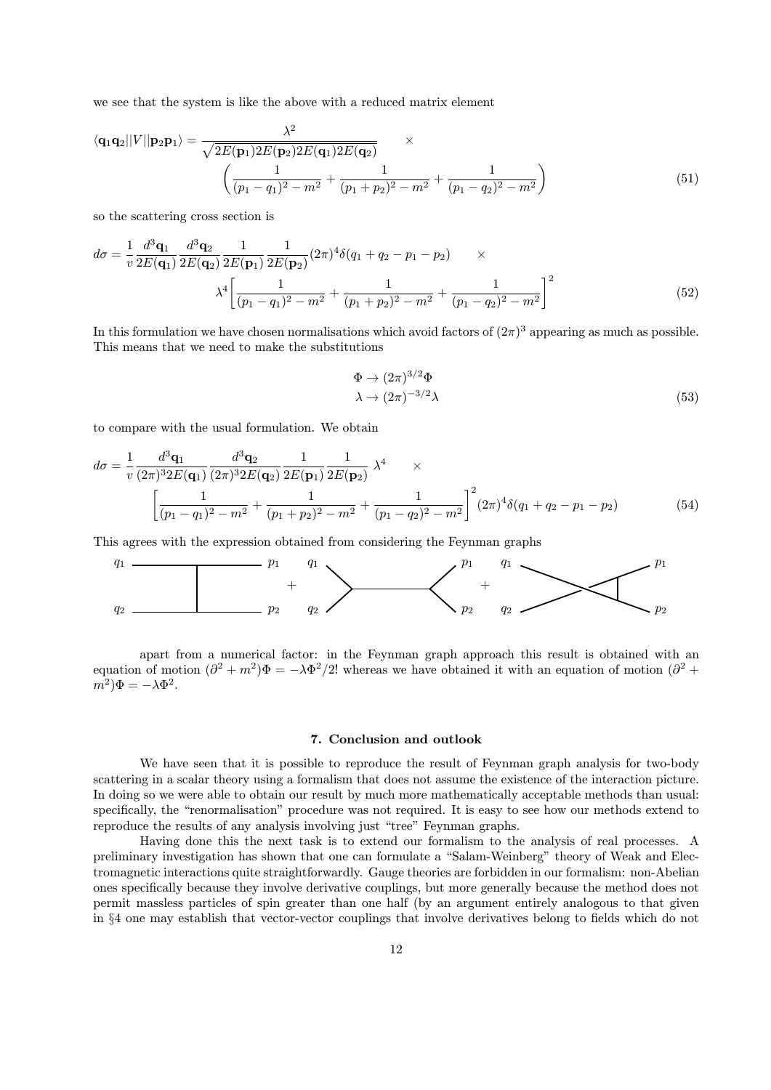we see that the system is like the above with a reduced matrix element

$$
\langle \mathbf{q}_1 \mathbf{q}_2 || V || \mathbf{p}_2 \mathbf{p}_1 \rangle = \frac{\lambda^2}{\sqrt{2E(\mathbf{p}_1)2E(\mathbf{p}_2)2E(\mathbf{q}_1)2E(\mathbf{q}_2)}} \times \left( \frac{1}{(p_1 - q_1)^2 - m^2} + \frac{1}{(p_1 + p_2)^2 - m^2} + \frac{1}{(p_1 - q_2)^2 - m^2} \right)
$$
(51)

so the scattering cross section is

$$
d\sigma = \frac{1}{v} \frac{d^3 \mathbf{q}_1}{2E(\mathbf{q}_1)} \frac{d^3 \mathbf{q}_2}{2E(\mathbf{q}_2)} \frac{1}{2E(\mathbf{p}_1)} \frac{1}{2E(\mathbf{p}_2)} (2\pi)^4 \delta(q_1 + q_2 - p_1 - p_2) \times
$$

$$
\lambda^4 \left[ \frac{1}{(p_1 - q_1)^2 - m^2} + \frac{1}{(p_1 + p_2)^2 - m^2} + \frac{1}{(p_1 - q_2)^2 - m^2} \right]^2 \tag{52}
$$

In this formulation we have chosen normalisations which avoid factors of  $(2\pi)^3$  appearing as much as possible. This means that we need to make the substitutions

$$
\Phi \to (2\pi)^{3/2} \Phi
$$
  
\n
$$
\lambda \to (2\pi)^{-3/2} \lambda
$$
\n(53)

to compare with the usual formulation. We obtain

$$
d\sigma = \frac{1}{v} \frac{d^3 \mathbf{q}_1}{(2\pi)^3 2E(\mathbf{q}_1)} \frac{d^3 \mathbf{q}_2}{(2\pi)^3 2E(\mathbf{q}_2)} \frac{1}{2E(\mathbf{p}_1)} \frac{1}{2E(\mathbf{p}_2)} \lambda^4 \times \left[ \frac{1}{(p_1 - q_1)^2 - m^2} + \frac{1}{(p_1 + p_2)^2 - m^2} + \frac{1}{(p_1 - q_2)^2 - m^2} \right]^2 (2\pi)^4 \delta(q_1 + q_2 - p_1 - p_2)
$$
(54)

This agrees with the expression obtained from considering the Feynman graphs

q<sup>1</sup> p<sup>1</sup> q<sup>1</sup> p<sup>1</sup> q<sup>1</sup> p<sup>1</sup> + + q<sup>2</sup> p<sup>2</sup> q<sup>2</sup> p<sup>2</sup> q<sup>2</sup> p<sup>2</sup>

apart from a numerical factor: in the Feynman graph approach this result is obtained with an equation of motion  $(\partial^2 + m^2)\Phi = -\lambda \Phi^2/2!$  whereas we have obtained it with an equation of motion  $(\partial^2 +$  $(m^2)\Phi = -\lambda \Phi^2.$ 

## 7. Conclusion and outlook

We have seen that it is possible to reproduce the result of Feynman graph analysis for two-body scattering in a scalar theory using a formalism that does not assume the existence of the interaction picture. In doing so we were able to obtain our result by much more mathematically acceptable methods than usual: specifically, the "renormalisation" procedure was not required. It is easy to see how our methods extend to reproduce the results of any analysis involving just "tree" Feynman graphs.

Having done this the next task is to extend our formalism to the analysis of real processes. A preliminary investigation has shown that one can formulate a "Salam-Weinberg" theory of Weak and Electromagnetic interactions quite straightforwardly. Gauge theories are forbidden in our formalism: non-Abelian ones specifically because they involve derivative couplings, but more generally because the method does not permit massless particles of spin greater than one half (by an argument entirely analogous to that given in §4 one may establish that vector-vector couplings that involve derivatives belong to fields which do not